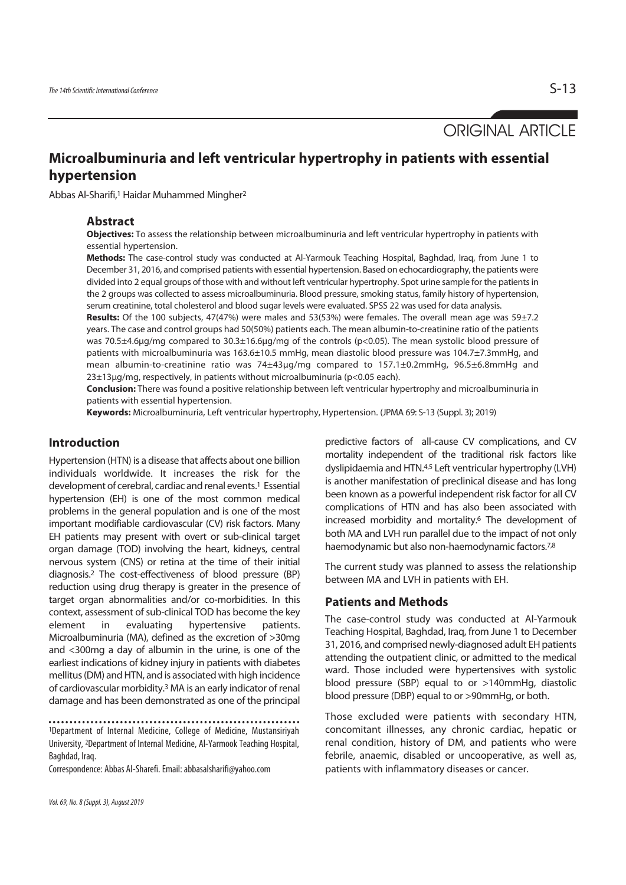ORIGINAL ARTICLE

# **Microalbuminuria and left ventricular hypertrophy in patients with essential hypertension**

Abbas Al-Sharifi,1 Haidar Muhammed Mingher2

#### **Abstract**

**Objectives:** To assess the relationship between microalbuminuria and left ventricular hypertrophy in patients with essential hypertension.

**Methods:** The case-control study was conducted at Al-Yarmouk Teaching Hospital, Baghdad, Iraq, from June 1 to December 31, 2016, and comprised patients with essential hypertension. Based on echocardiography, the patients were divided into 2 equal groups of those with and without left ventricular hypertrophy. Spot urine sample for the patients in the 2 groups was collected to assess microalbuminuria. Blood pressure, smoking status, family history of hypertension, serum creatinine, total cholesterol and blood sugar levels were evaluated. SPSS 22 was used for data analysis.

**Results:** Of the 100 subjects, 47(47%) were males and 53(53%) were females. The overall mean age was 59±7.2 years. The case and control groups had 50(50%) patients each. The mean albumin-to-creatinine ratio of the patients was 70.5±4.6μg/mg compared to 30.3±16.6μg/mg of the controls (p<0.05). The mean systolic blood pressure of patients with microalbuminuria was 163.6±10.5 mmHg, mean diastolic blood pressure was 104.7±7.3mmHg, and mean albumin-to-creatinine ratio was 74±43μg/mg compared to 157.1±0.2mmHg, 96.5±6.8mmHg and 23±13μg/mg, respectively, in patients without microalbuminuria (p<0.05 each).

**Conclusion:** There was found a positive relationship between left ventricular hypertrophy and microalbuminuria in patients with essential hypertension.

**Keywords:** Microalbuminuria, Left ventricular hypertrophy, Hypertension. (JPMA 69: S-13 (Suppl. 3); 2019)

### **Introduction**

Hypertension (HTN) is a disease that affects about one billion individuals worldwide. It increases the risk for the development of cerebral, cardiac and renal events.1 Essential hypertension (EH) is one of the most common medical problems in the general population and is one of the most important modifiable cardiovascular (CV) risk factors. Many EH patients may present with overt or sub-clinical target organ damage (TOD) involving the heart, kidneys, central nervous system (CNS) or retina at the time of their initial diagnosis.2 The cost-effectiveness of blood pressure (BP) reduction using drug therapy is greater in the presence of target organ abnormalities and/or co-morbidities. In this context, assessment of sub-clinical TOD has become the key element in evaluating hypertensive patients. Microalbuminuria (MA), defined as the excretion of >30mg and <300mg a day of albumin in the urine, is one of the earliest indications of kidney injury in patients with diabetes mellitus (DM) and HTN, and is associated with high incidence of cardiovascular morbidity.3 MA is an early indicator of renal damage and has been demonstrated as one of the principal

Correspondence: Abbas Al-Sharefi. Email: abbasalsharifi@yahoo.com

predictive factors of all-cause CV complications, and CV mortality independent of the traditional risk factors like dyslipidaemia and HTN.4,5 Left ventricular hypertrophy (LVH) is another manifestation of preclinical disease and has long been known as a powerful independent risk factor for all CV complications of HTN and has also been associated with increased morbidity and mortality.6 The development of both MA and LVH run parallel due to the impact of not only haemodynamic but also non-haemodynamic factors.7,8

The current study was planned to assess the relationship between MA and LVH in patients with EH.

#### **Patients and Methods**

The case-control study was conducted at Al-Yarmouk Teaching Hospital, Baghdad, Iraq, from June 1 to December 31, 2016, and comprised newly-diagnosed adult EH patients attending the outpatient clinic, or admitted to the medical ward. Those included were hypertensives with systolic blood pressure (SBP) equal to or >140mmHg, diastolic blood pressure (DBP) equal to or >90mmHg, or both.

Those excluded were patients with secondary HTN, concomitant illnesses, any chronic cardiac, hepatic or renal condition, history of DM, and patients who were febrile, anaemic, disabled or uncooperative, as well as, patients with inflammatory diseases or cancer.

<sup>1</sup>Department of Internal Medicine, College of Medicine, Mustansiriyah University, 2Department of Internal Medicine, Al-Yarmook Teaching Hospital, Baghdad, Iraq.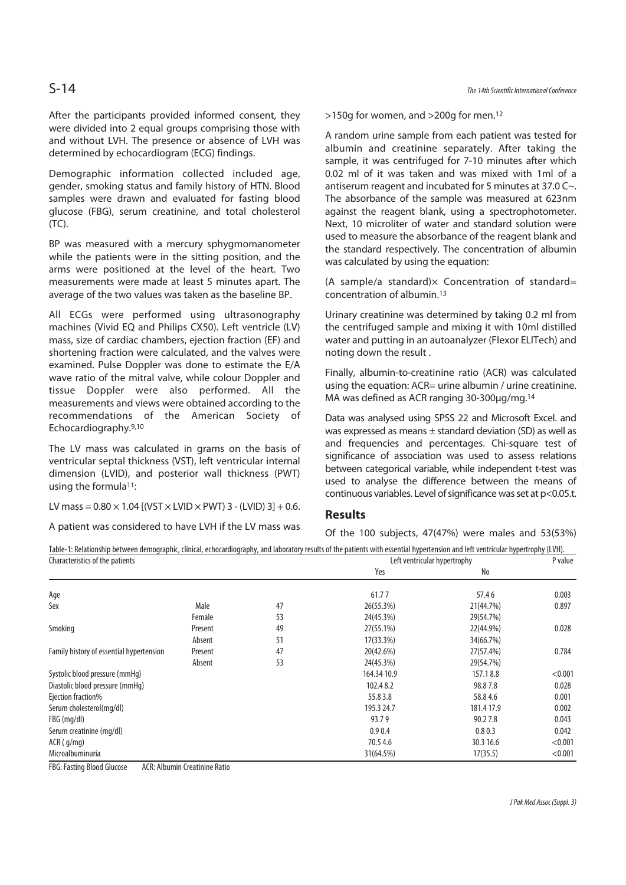After the participants provided informed consent, they were divided into 2 equal groups comprising those with and without LVH. The presence or absence of LVH was determined by echocardiogram (ECG) findings.

Demographic information collected included age, gender, smoking status and family history of HTN. Blood samples were drawn and evaluated for fasting blood glucose (FBG), serum creatinine, and total cholesterol (TC).

BP was measured with a mercury sphygmomanometer while the patients were in the sitting position, and the arms were positioned at the level of the heart. Two measurements were made at least 5 minutes apart. The average of the two values was taken as the baseline BP.

All ECGs were performed using ultrasonography machines (Vivid EQ and Philips CX50). Left ventricle (LV) mass, size of cardiac chambers, ejection fraction (EF) and shortening fraction were calculated, and the valves were examined. Pulse Doppler was done to estimate the E/A wave ratio of the mitral valve, while colour Doppler and tissue Doppler were also performed. All the measurements and views were obtained according to the recommendations of the American Society of Echocardiography.9,10

The LV mass was calculated in grams on the basis of ventricular septal thickness (VST), left ventricular internal dimension (LVID), and posterior wall thickness (PWT) using the formula<sup>11</sup>:

LV mass =  $0.80 \times 1.04$  [(VST  $\times$  LVID  $\times$  PWT) 3 - (LVID) 3] + 0.6.

A patient was considered to have LVH if the LV mass was

S-14 The 14th Scientific International Conference

>150g for women, and >200g for men.12

A random urine sample from each patient was tested for albumin and creatinine separately. After taking the sample, it was centrifuged for 7-10 minutes after which 0.02 ml of it was taken and was mixed with 1ml of a antiserum reagent and incubated for 5 minutes at 37.0 C~. The absorbance of the sample was measured at 623nm against the reagent blank, using a spectrophotometer. Next, 10 microliter of water and standard solution were used to measure the absorbance of the reagent blank and the standard respectively. The concentration of albumin was calculated by using the equation:

(A sample/a standard) $\times$  Concentration of standard= concentration of albumin.13

Urinary creatinine was determined by taking 0.2 ml from the centrifuged sample and mixing it with 10ml distilled water and putting in an autoanalyzer (Flexor ELITech) and noting down the result .

Finally, albumin-to-creatinine ratio (ACR) was calculated using the equation: ACR= urine albumin / urine creatinine. MA was defined as ACR ranging 30-300ug/mg.<sup>14</sup>

Data was analysed using SPSS 22 and Microsoft Excel. and was expressed as means  $\pm$  standard deviation (SD) as well as and frequencies and percentages. Chi-square test of significance of association was used to assess relations between categorical variable, while independent t-test was used to analyse the difference between the means of continuous variables. Level of significance was set at p<0.05.t.

### **Results**

Of the 100 subjects, 47(47%) were males and 53(53%)

| Table-1: Relationship between demographic, clinical, echocardiography, and laboratory results of the patients with essential hypertension and left ventricular hypertrophy (LVH). |         |    |                              |            |         |
|-----------------------------------------------------------------------------------------------------------------------------------------------------------------------------------|---------|----|------------------------------|------------|---------|
| Characteristics of the patients                                                                                                                                                   |         |    | Left ventricular hypertrophy |            | P value |
|                                                                                                                                                                                   |         |    | Yes                          | No         |         |
| Age                                                                                                                                                                               |         |    | 61.77                        | 57.46      | 0.003   |
| Sex                                                                                                                                                                               | Male    | 47 | 26(55.3%)                    | 21(44.7%)  | 0.897   |
|                                                                                                                                                                                   | Female  | 53 | 24(45.3%)                    | 29(54.7%)  |         |
| Smoking                                                                                                                                                                           | Present | 49 | 27(55.1%)                    | 22(44.9%)  | 0.028   |
|                                                                                                                                                                                   | Absent  | 51 | $17(33.3\%)$                 | 34(66.7%)  |         |
| Family history of essential hypertension                                                                                                                                          | Present | 47 | 20(42.6%)                    | 27(57.4%)  | 0.784   |
|                                                                                                                                                                                   | Absent  | 53 | 24(45.3%)                    | 29(54.7%)  |         |
| Systolic blood pressure (mmHg)                                                                                                                                                    |         |    | 164.34 10.9                  | 157.18.8   | < 0.001 |
| Diastolic blood pressure (mmHq)                                                                                                                                                   |         |    | 102.48.2                     | 98.87.8    | 0.028   |
| Ejection fraction%                                                                                                                                                                |         |    | 55.83.8                      | 58.84.6    | 0.001   |
| Serum cholesterol(mg/dl)                                                                                                                                                          |         |    | 195.3 24.7                   | 181.4 17.9 | 0.002   |
| FBG (mg/dl)                                                                                                                                                                       |         |    | 93.79                        | 90.27.8    | 0.043   |
| Serum creatinine (mg/dl)                                                                                                                                                          |         |    | 0.90.4                       | 0.80.3     | 0.042   |
| $ACR$ ( $q/mq$ )                                                                                                                                                                  |         |    | 70.54.6                      | 30.3 16.6  | < 0.001 |
| Microalbuminuria                                                                                                                                                                  |         |    | 31(64.5%)                    | 17(35.5)   | < 0.001 |

FBG: Fasting Blood Glucose ACR: Albumin Creatinine Ratio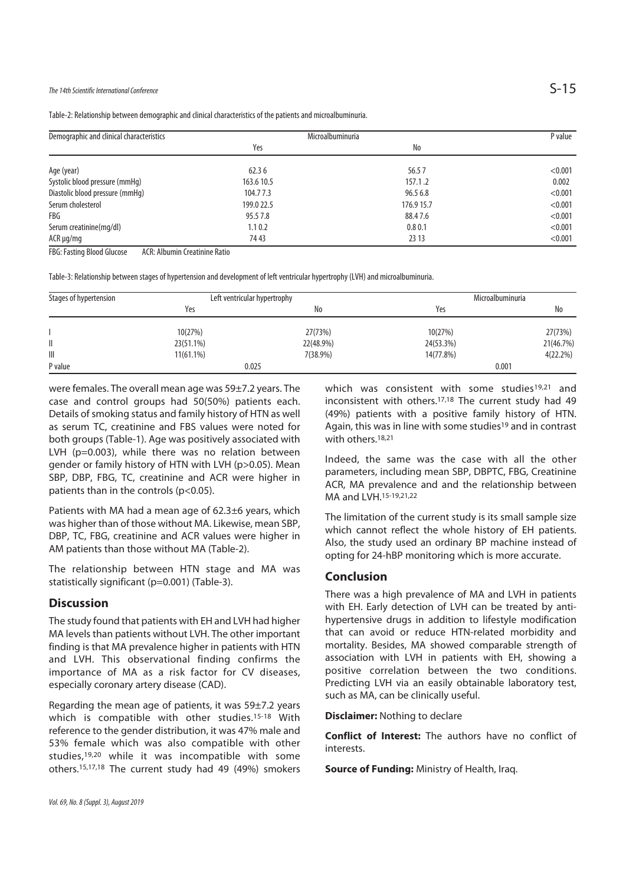## The 14th Scientific International Conference  $S-15$

|  |  | Table-2: Relationship between demographic and clinical characteristics of the patients and microalbuminuria. |
|--|--|--------------------------------------------------------------------------------------------------------------|
|  |  |                                                                                                              |

| Demographic and clinical characteristics | Microalbuminuria | P value    |         |
|------------------------------------------|------------------|------------|---------|
|                                          | Yes              | No         |         |
| Age (year)                               | 62.36            | 56.57      | < 0.001 |
| Systolic blood pressure (mmHg)           | 163.6 10.5       | 157.1.2    | 0.002   |
| Diastolic blood pressure (mmHg)          | 104.77.3         | 96.5 6.8   | < 0.001 |
| Serum cholesterol                        | 199.0 22.5       | 176.9 15.7 | < 0.001 |
| FBG                                      | 95.5 7.8         | 88.47.6    | < 0.001 |
| Serum creatinine(mg/dl)                  | 1.10.2           | 0.80.1     | < 0.001 |
| $ACR \mu q/mq$                           | 74 43            | 23 13      | < 0.001 |

FBG: Fasting Blood Glucose ACR: Albumin Creatinine Ratio

Table-3: Relationship between stages of hypertension and development of left ventricular hypertrophy (LVH) and microalbuminuria.

| Stages of hypertension | Left ventricular hypertrophy |           | Microalbuminuria |           |  |
|------------------------|------------------------------|-----------|------------------|-----------|--|
|                        | Yes                          | No        | Yes              | No        |  |
|                        |                              |           |                  |           |  |
|                        | 10(27%)                      | 27(73%)   | 10(27%)          | 27(73%)   |  |
| II                     | 23(51.1%)                    | 22(48.9%) | 24(53.3%)        | 21(46.7%) |  |
| $\parallel \parallel$  | $11(61.1\%)$                 | 7(38.9%)  | 14(77.8%)        | 4(22.2%)  |  |
| P value                | 0.025                        |           |                  | 0.001     |  |

were females. The overall mean age was 59±7.2 years. The case and control groups had 50(50%) patients each. Details of smoking status and family history of HTN as well as serum TC, creatinine and FBS values were noted for both groups (Table-1). Age was positively associated with LVH (p=0.003), while there was no relation between gender or family history of HTN with LVH (p>0.05). Mean SBP, DBP, FBG, TC, creatinine and ACR were higher in patients than in the controls (p<0.05).

Patients with MA had a mean age of 62.3±6 years, which was higher than of those without MA. Likewise, mean SBP, DBP, TC, FBG, creatinine and ACR values were higher in AM patients than those without MA (Table-2).

The relationship between HTN stage and MA was statistically significant (p=0.001) (Table-3).

#### **Discussion**

The study found that patients with EH and LVH had higher MA levels than patients without LVH. The other important finding is that MA prevalence higher in patients with HTN and LVH. This observational finding confirms the importance of MA as a risk factor for CV diseases, especially coronary artery disease (CAD).

Regarding the mean age of patients, it was 59±7.2 years which is compatible with other studies.15-18 With reference to the gender distribution, it was 47% male and 53% female which was also compatible with other studies,19,20 while it was incompatible with some others.15,17,18 The current study had 49 (49%) smokers which was consistent with some studies<sup>19,21</sup> and inconsistent with others.17,18 The current study had 49 (49%) patients with a positive family history of HTN. Again, this was in line with some studies<sup>19</sup> and in contrast with others.<sup>18,21</sup>

Indeed, the same was the case with all the other parameters, including mean SBP, DBPTC, FBG, Creatinine ACR, MA prevalence and and the relationship between MA and LVH.15-19,21,22

The limitation of the current study is its small sample size which cannot reflect the whole history of EH patients. Also, the study used an ordinary BP machine instead of opting for 24-hBP monitoring which is more accurate.

### **Conclusion**

There was a high prevalence of MA and LVH in patients with EH. Early detection of LVH can be treated by antihypertensive drugs in addition to lifestyle modification that can avoid or reduce HTN-related morbidity and mortality. Besides, MA showed comparable strength of association with LVH in patients with EH, showing a positive correlation between the two conditions. Predicting LVH via an easily obtainable laboratory test, such as MA, can be clinically useful.

**Disclaimer:** Nothing to declare

**Conflict of Interest:** The authors have no conflict of interests.

**Source of Funding:** Ministry of Health, Iraq.